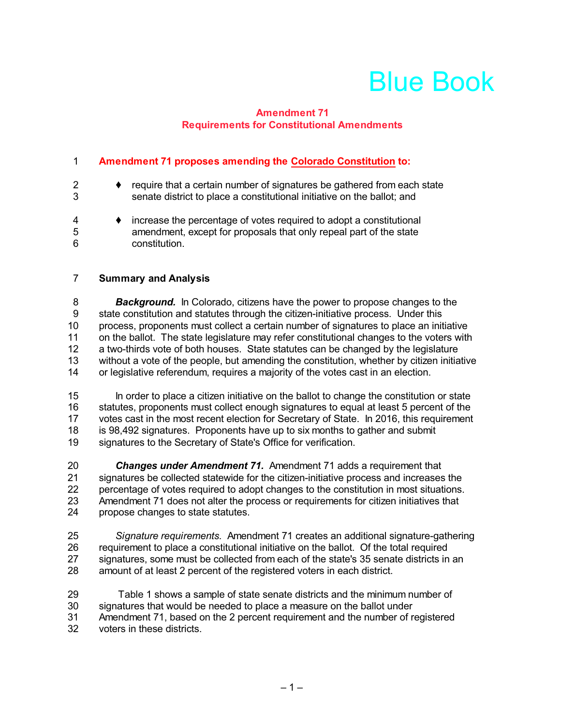# Blue Book

### **Amendment 71 Requirements for Constitutional Amendments**

### **Amendment 71 proposes amending the Colorado Constitution to:**

| 2<br>3      | require that a certain number of signatures be gathered from each state<br>senate district to place a constitutional initiative on the ballot; and         |
|-------------|------------------------------------------------------------------------------------------------------------------------------------------------------------|
| 4<br>5<br>6 | increase the percentage of votes required to adopt a constitutional<br>amendment, except for proposals that only repeal part of the state<br>constitution. |

### **Summary and Analysis**

**Background.** In Colorado, citizens have the power to propose changes to the state constitution and statutes through the citizen-initiative process. Under this state constitution and statutes through the citizen-initiative process. Under this process, proponents must collect a certain number of signatures to place an initiative 11 on the ballot. The state legislature may refer constitutional changes to the voters with a two-thirds vote of both houses. State statutes can be changed by the legislature without a vote of the people, but amending the constitution, whether by citizen initiative or legislative referendum, requires a majority of the votes cast in an election.

 In order to place a citizen initiative on the ballot to change the constitution or state statutes, proponents must collect enough signatures to equal at least 5 percent of the votes cast in the most recent election for Secretary of State. In 2016, this requirement is 98,492 signatures. Proponents have up to six months to gather and submit signatures to the Secretary of State's Office for verification.

 *Changes under Amendment 71.* Amendment 71 adds a requirement that 21 signatures be collected statewide for the citizen-initiative process and increases the<br>22 percentage of votes required to adopt changes to the constitution in most situations. percentage of votes required to adopt changes to the constitution in most situations. Amendment 71 does not alter the process or requirements for citizen initiatives that propose changes to state statutes.

 *Signature requirements.* Amendment 71 creates an additional signature-gathering requirement to place a constitutional initiative on the ballot. Of the total required 27 signatures, some must be collected from each of the state's 35 senate districts in an<br>28 amount of at least 2 percent of the registered voters in each district. amount of at least 2 percent of the registered voters in each district.

 Table 1 shows a sample of state senate districts and the minimum number of signatures that would be needed to place a measure on the ballot under Amendment 71, based on the 2 percent requirement and the number of registered voters in these districts.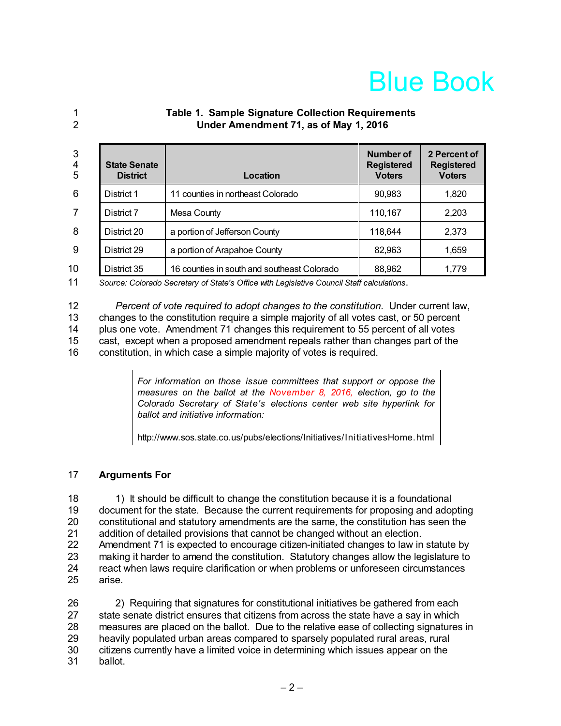## Blue Book

- 
- **Table 1. Sample Signature Collection Requirements Under Amendment 71, as of May 1, 2016**

| 3<br>4<br>5 | <b>State Senate</b><br><b>District</b> | Location                                    | Number of<br><b>Registered</b><br><b>Voters</b> | 2 Percent of<br><b>Registered</b><br><b>Voters</b> |
|-------------|----------------------------------------|---------------------------------------------|-------------------------------------------------|----------------------------------------------------|
| 6           | District 1                             | 11 counties in northeast Colorado           | 90,983                                          | 1,820                                              |
|             | District 7                             | Mesa County                                 | 110,167                                         | 2,203                                              |
| 8           | District 20                            | a portion of Jefferson County               | 118,644                                         | 2,373                                              |
| 9           | District 29                            | a portion of Arapahoe County                | 82,963                                          | 1,659                                              |
| 10          | District 35                            | 16 counties in south and southeast Colorado | 88,962                                          | 1,779                                              |

*Source: Colorado Secretary of State's Office with Legislative Council Staff calculations*.

 *Percent of vote required to adopt changes to the constitution.* Under current law, changes to the constitution require a simple majority of all votes cast, or 50 percent plus one vote. Amendment 71 changes this requirement to 55 percent of all votes cast, except when a proposed amendment repeals rather than changes part of the

constitution, in which case a simple majority of votes is required.

*For information on those issue committees that support or oppose the measures on the ballot at the November 8, 2016, election, go to the Colorado Secretary of State's elections center web site hyperlink for ballot and initiative information:*

http://www.sos.state.co.us/pubs/elections/Initiatives/InitiativesHome.html

### **Arguments For**

 1) It should be difficult to change the constitution because it is a foundational document for the state. Because the current requirements for proposing and adopting constitutional and statutory amendments are the same, the constitution has seen the addition of detailed provisions that cannot be changed without an election. Amendment 71 is expected to encourage citizen-initiated changes to law in statute by making it harder to amend the constitution. Statutory changes allow the legislature to 24 react when laws require clarification or when problems or unforeseen circumstances<br>25 arise. arise.

 2) Requiring that signatures for constitutional initiatives be gathered from each 27 state senate district ensures that citizens from across the state have a say in which measures are placed on the ballot. Due to the relative ease of collecting signatures in heavily populated urban areas compared to sparsely populated rural areas, rural citizens currently have a limited voice in determining which issues appear on the ballot.